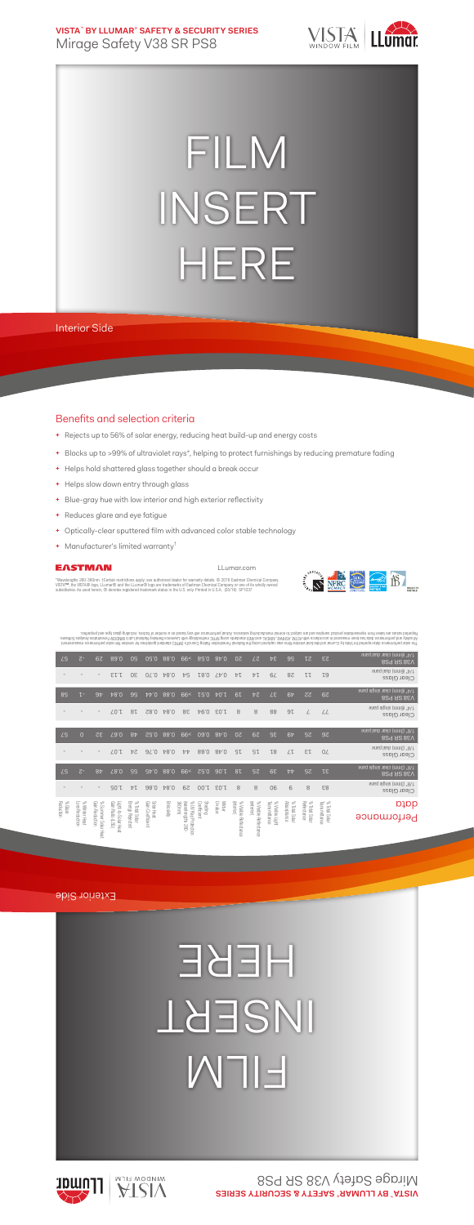**VISTA**™  **BY LLUMAR**® **SAFETY & SECURITY SERIES** Mirage Safety V38 SR PS8



## FILM INSERT HERE

## Interior Side

## Benefits and selection criteria

- **+** Rejects up to 56% of solar energy, reducing heat build-up and energy costs
- **+** Blocks up to >99% of ultraviolet rays\*, helping to protect furnishings by reducing premature fading
- **+** Helps hold shattered glass together should a break occur
- **+** Helps slow down entry through glass
- **+** Blue-gray hue with low interior and high exterior reflectivity
- **+** Reduces glare and eye fatigue
- **+** Optically-clear sputtered film with advanced color stable technology
- **+** Manufacturer's limited warranty†

### EASTMAN

LLumar.com

"Wavelengths 280-380nm. †Certain restrictions apply; see authorized dealer for warranty details. © 2016 Eastman Chemical Company.<br>VISTA™, the VISTA® logo, LLumar® and the LLumar® logo are trademarks of Eastman Chemical Com